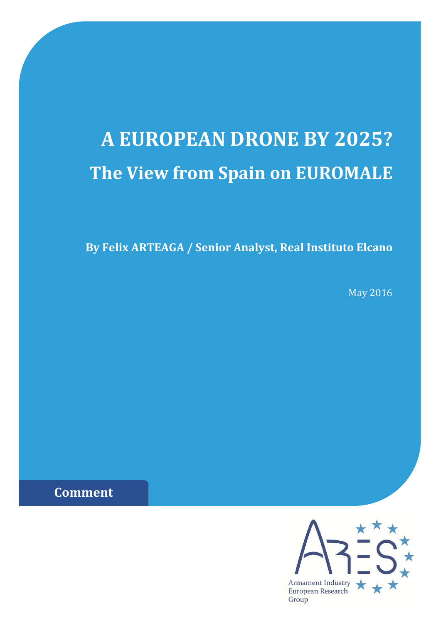# **A EUROPEAN DRONE BY 2025? The View from Spain on EUROMALE**

**By Felix ARTEAGA / Senior Analyst, Real Instituto Elcano**

May 2016

**Comment**

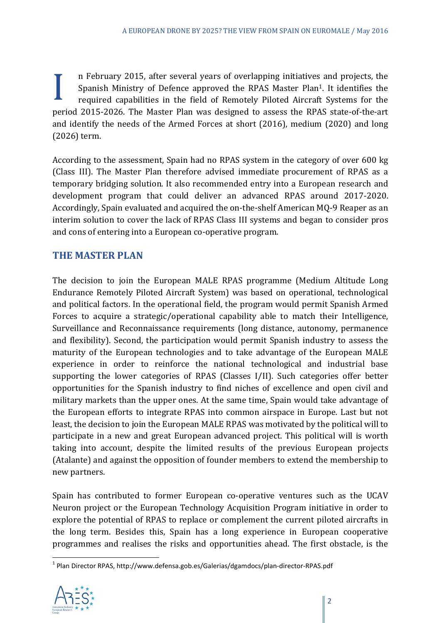I n February 2015, after several years of overlapping initiatives and projects, the Spanish Ministry of Defence approved the RPAS Master Plan<sup>1</sup>. It identifies the required capabilities in the field of Remotely Piloted Air Spanish Ministry of Defence approved the RPAS Master Plan<sup>1</sup>. It identifies the required capabilities in the field of Remotely Piloted Aircraft Systems for the period 2015-2026. The Master Plan was designed to assess the RPAS state-of-the-art and identify the needs of the Armed Forces at short  $(2016)$ , medium  $(2020)$  and long  $(2026)$  term.

According to the assessment, Spain had no RPAS system in the category of over 600 kg (Class III). The Master Plan therefore advised immediate procurement of RPAS as a temporary bridging solution. It also recommended entry into a European research and development program that could deliver an advanced RPAS around 2017-2020. Accordingly, Spain evaluated and acquired the on-the-shelf American MO-9 Reaper as an interim solution to cover the lack of RPAS Class III systems and began to consider pros and cons of entering into a European co-operative program.

### **THE MASTER PLAN**

The decision to join the European MALE RPAS programme (Medium Altitude Long Endurance Remotely Piloted Aircraft System) was based on operational, technological and political factors. In the operational field, the program would permit Spanish Armed Forces to acquire a strategic/operational capability able to match their Intelligence, Surveillance and Reconnaissance requirements (long distance, autonomy, permanence and flexibility). Second, the participation would permit Spanish industry to assess the maturity of the European technologies and to take advantage of the European MALE experience in order to reinforce the national technological and industrial base supporting the lower categories of RPAS (Classes I/II). Such categories offer better opportunities for the Spanish industry to find niches of excellence and open civil and military markets than the upper ones. At the same time, Spain would take advantage of the European efforts to integrate RPAS into common airspace in Europe. Last but not least, the decision to join the European MALE RPAS was motivated by the political will to participate in a new and great European advanced project. This political will is worth taking into account, despite the limited results of the previous European projects (Atalante) and against the opposition of founder members to extend the membership to new partners. 

Spain has contributed to former European co-operative ventures such as the UCAV Neuron project or the European Technology Acquisition Program initiative in order to explore the potential of RPAS to replace or complement the current piloted aircrafts in the long term. Besides this, Spain has a long experience in European cooperative programmes and realises the risks and opportunities ahead. The first obstacle, is the

<sup>&</sup>lt;sup>1</sup> Plan Director RPAS, http://www.defensa.gob.es/Galerias/dgamdocs/plan-director-RPAS.pdf

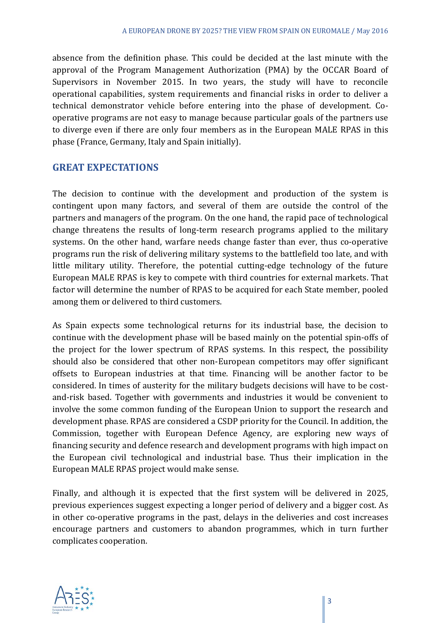absence from the definition phase. This could be decided at the last minute with the approval of the Program Management Authorization (PMA) by the OCCAR Board of Supervisors in November 2015. In two years, the study will have to reconcile operational capabilities, system requirements and financial risks in order to deliver a technical demonstrator vehicle before entering into the phase of development. Cooperative programs are not easy to manage because particular goals of the partners use to diverge even if there are only four members as in the European MALE RPAS in this phase (France, Germany, Italy and Spain initially).

### **GREAT EXPECTATIONS**

The decision to continue with the development and production of the system is contingent upon many factors, and several of them are outside the control of the partners and managers of the program. On the one hand, the rapid pace of technological change threatens the results of long-term research programs applied to the military systems. On the other hand, warfare needs change faster than ever, thus co-operative programs run the risk of delivering military systems to the battlefield too late, and with little military utility. Therefore, the potential cutting-edge technology of the future European MALE RPAS is key to compete with third countries for external markets. That factor will determine the number of RPAS to be acquired for each State member, pooled among them or delivered to third customers.

As Spain expects some technological returns for its industrial base, the decision to continue with the development phase will be based mainly on the potential spin-offs of the project for the lower spectrum of RPAS systems. In this respect, the possibility should also be considered that other non-European competitors may offer significant offsets to European industries at that time. Financing will be another factor to be considered. In times of austerity for the military budgets decisions will have to be costand-risk based. Together with governments and industries it would be convenient to involve the some common funding of the European Union to support the research and development phase. RPAS are considered a CSDP priority for the Council. In addition, the Commission, together with European Defence Agency, are exploring new ways of financing security and defence research and development programs with high impact on the European civil technological and industrial base. Thus their implication in the European MALE RPAS project would make sense.

Finally, and although it is expected that the first system will be delivered in 2025, previous experiences suggest expecting a longer period of delivery and a bigger cost. As in other co-operative programs in the past, delays in the deliveries and cost increases encourage partners and customers to abandon programmes, which in turn further complicates cooperation.

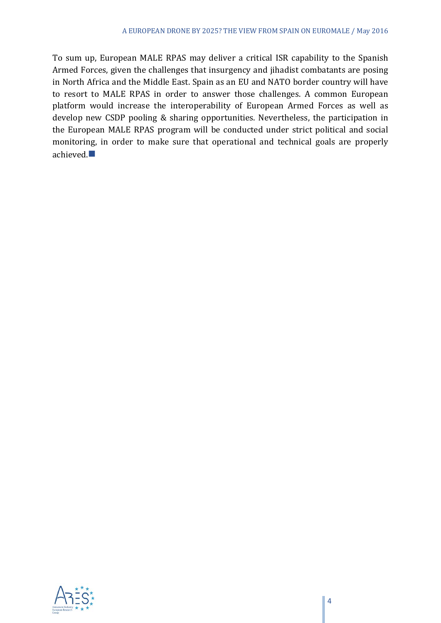To sum up, European MALE RPAS may deliver a critical ISR capability to the Spanish Armed Forces, given the challenges that insurgency and jihadist combatants are posing in North Africa and the Middle East. Spain as an EU and NATO border country will have to resort to MALE RPAS in order to answer those challenges. A common European platform would increase the interoperability of European Armed Forces as well as develop new CSDP pooling & sharing opportunities. Nevertheless, the participation in the European MALE RPAS program will be conducted under strict political and social monitoring, in order to make sure that operational and technical goals are properly achieved.